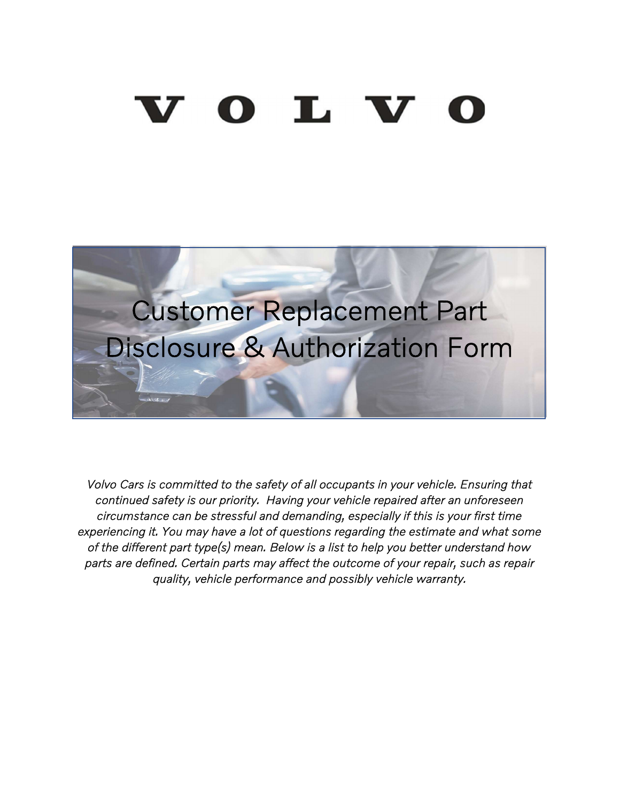# $0$  L V



Volvo Cars is committed to the safety of all occupants in your vehicle. Ensuring that continued safety is our priority. Having your vehicle repaired after an unforeseen circumstance can be stressful and demanding, especially if this is your first time experiencing it. You may have a lot of questions regarding the estimate and what some of the different part type(s) mean. Below is a list to help you better understand how parts are defined. Certain parts may affect the outcome of your repair, such as repair quality, vehicle performance and possibly vehicle warranty.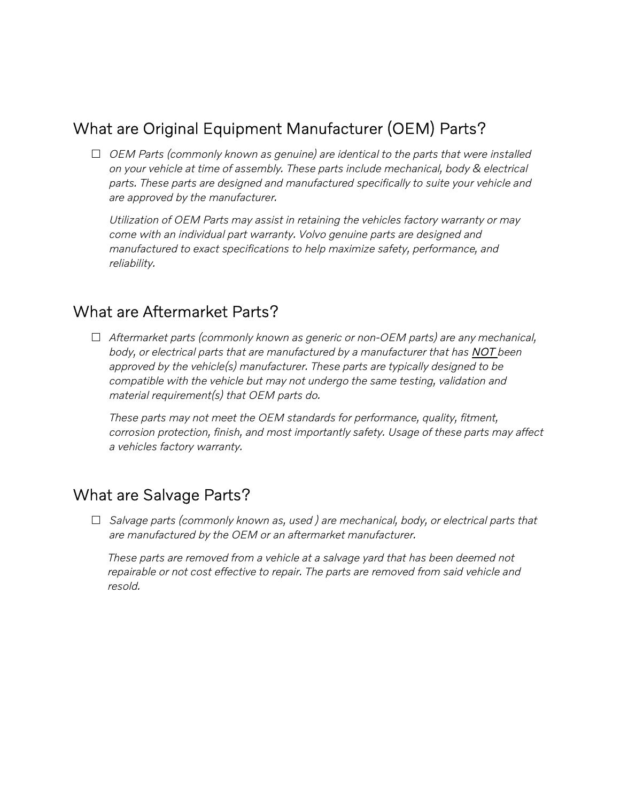# What are Original Equipment Manufacturer (OEM) Parts?

 $\Box$  OEM Parts (commonly known as genuine) are identical to the parts that were installed on your vehicle at time of assembly. These parts include mechanical, body & electrical parts. These parts are designed and manufactured specifically to suite your vehicle and are approved by the manufacturer.

Utilization of OEM Parts may assist in retaining the vehicles factory warranty or may come with an individual part warranty. Volvo genuine parts are designed and manufactured to exact specifications to help maximize safety, performance, and reliability.

#### What are Aftermarket Parts?

 $\Box$  Aftermarket parts (commonly known as generic or non-OEM parts) are any mechanical, body, or electrical parts that are manufactured by a manufacturer that has NOT been approved by the vehicle(s) manufacturer. These parts are typically designed to be compatible with the vehicle but may not undergo the same testing, validation and material requirement(s) that OEM parts do.

These parts may not meet the OEM standards for performance, quality, fitment, corrosion protection, finish, and most importantly safety. Usage of these parts may affect a vehicles factory warranty.

### What are Salvage Parts?

 $\Box$  Salvage parts (commonly known as, used) are mechanical, body, or electrical parts that are manufactured by the OEM or an aftermarket manufacturer.

These parts are removed from a vehicle at a salvage yard that has been deemed not repairable or not cost effective to repair. The parts are removed from said vehicle and resold.